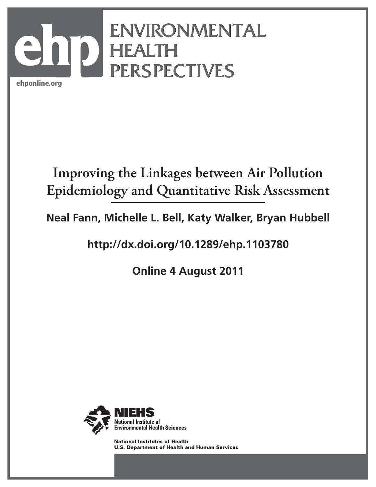

# **Improving the Linkages between Air Pollution Epidemiology and Quantitative Risk Assessment**

**Neal Fann, Michelle L. Bell, Katy Walker, Bryan Hubbell**

**http://dx.doi.org/10.1289/ehp.1103780**

**Online 4 August 2011**



National Institutes of Health U.S. Department of Health and Human Services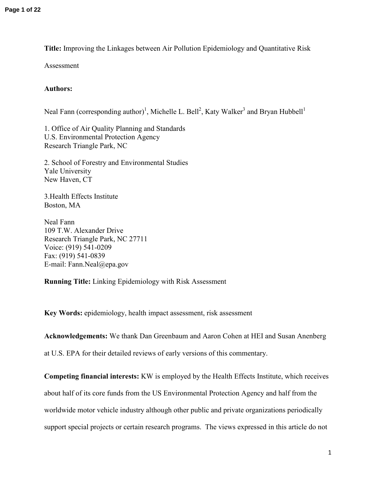**Title:** Improving the Linkages between Air Pollution Epidemiology and Quantitative Risk

Assessment

# **Authors:**

Neal Fann (corresponding author)<sup>1</sup>, Michelle L. Bell<sup>2</sup>, Katy Walker<sup>3</sup> and Bryan Hubbell<sup>1</sup>

1. Office of Air Quality Planning and Standards U.S. Environmental Protection Agency Research Triangle Park, NC

2. School of Forestry and Environmental Studies Yale University New Haven, CT

3.Health Effects Institute Boston, MA

Neal Fann 109 T.W. Alexander Drive Research Triangle Park, NC 27711 Voice: (919) 541-0209 Fax: (919) 541-0839 E-mail: Fann.Neal@epa.gov

**Running Title:** Linking Epidemiology with Risk Assessment

**Key Words:** epidemiology, health impact assessment, risk assessment

**Acknowledgements:** We thank Dan Greenbaum and Aaron Cohen at HEI and Susan Anenberg

at U.S. EPA for their detailed reviews of early versions of this commentary.

**Competing financial interests:** KW is employed by the Health Effects Institute, which receives about half of its core funds from the US Environmental Protection Agency and half from the worldwide motor vehicle industry although other public and private organizations periodically support special projects or certain research programs. The views expressed in this article do not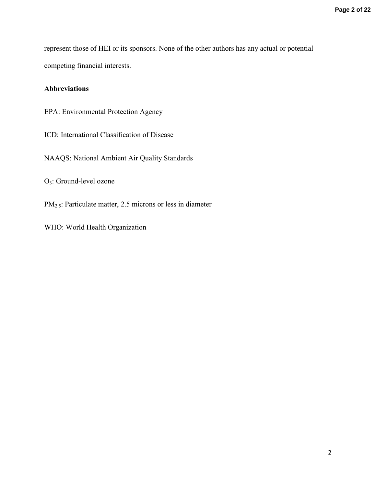represent those of HEI or its sponsors. None of the other authors has any actual or potential competing financial interests.

# **Abbreviations**

- EPA: Environmental Protection Agency
- ICD: International Classification of Disease
- NAAQS: National Ambient Air Quality Standards

O3: Ground-level ozone

- PM2.5: Particulate matter, 2.5 microns or less in diameter
- WHO: World Health Organization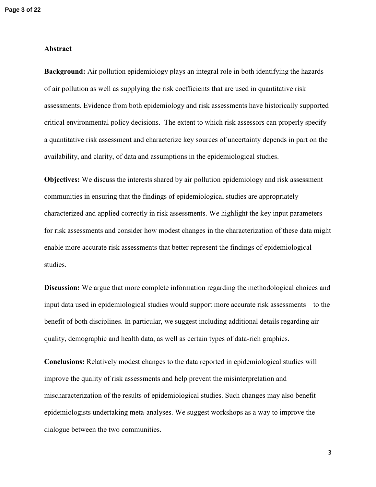# **Abstract**

**Background:** Air pollution epidemiology plays an integral role in both identifying the hazards of air pollution as well as supplying the risk coefficients that are used in quantitative risk assessments. Evidence from both epidemiology and risk assessments have historically supported critical environmental policy decisions. The extent to which risk assessors can properly specify a quantitative risk assessment and characterize key sources of uncertainty depends in part on the availability, and clarity, of data and assumptions in the epidemiological studies.

**Objectives:** We discuss the interests shared by air pollution epidemiology and risk assessment communities in ensuring that the findings of epidemiological studies are appropriately characterized and applied correctly in risk assessments. We highlight the key input parameters for risk assessments and consider how modest changes in the characterization of these data might enable more accurate risk assessments that better represent the findings of epidemiological studies.

**Discussion:** We argue that more complete information regarding the methodological choices and input data used in epidemiological studies would support more accurate risk assessments—to the benefit of both disciplines. In particular, we suggest including additional details regarding air quality, demographic and health data, as well as certain types of data-rich graphics.

**Conclusions:** Relatively modest changes to the data reported in epidemiological studies will improve the quality of risk assessments and help prevent the misinterpretation and mischaracterization of the results of epidemiological studies. Such changes may also benefit epidemiologists undertaking meta-analyses. We suggest workshops as a way to improve the dialogue between the two communities.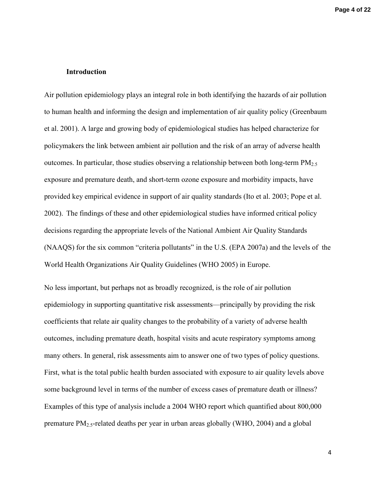# **Introduction**

Air pollution epidemiology plays an integral role in both identifying the hazards of air pollution to human health and informing the design and implementation of air quality policy (Greenbaum et al. 2001). A large and growing body of epidemiological studies has helped characterize for policymakers the link between ambient air pollution and the risk of an array of adverse health outcomes. In particular, those studies observing a relationship between both long-term  $PM<sub>2.5</sub>$ exposure and premature death, and short-term ozone exposure and morbidity impacts, have provided key empirical evidence in support of air quality standards (Ito et al. 2003; Pope et al. 2002). The findings of these and other epidemiological studies have informed critical policy decisions regarding the appropriate levels of the National Ambient Air Quality Standards (NAAQS) for the six common "criteria pollutants" in the U.S. (EPA 2007a) and the levels of the World Health Organizations Air Quality Guidelines (WHO 2005) in Europe.

No less important, but perhaps not as broadly recognized, is the role of air pollution epidemiology in supporting quantitative risk assessments—principally by providing the risk coefficients that relate air quality changes to the probability of a variety of adverse health outcomes, including premature death, hospital visits and acute respiratory symptoms among many others. In general, risk assessments aim to answer one of two types of policy questions. First, what is the total public health burden associated with exposure to air quality levels above some background level in terms of the number of excess cases of premature death or illness? Examples of this type of analysis include a 2004 WHO report which quantified about 800,000 premature  $PM_2$ , related deaths per year in urban areas globally (WHO, 2004) and a global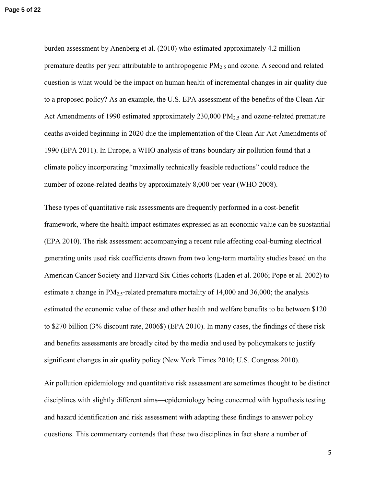burden assessment by Anenberg et al. (2010) who estimated approximately 4.2 million premature deaths per year attributable to anthropogenic  $PM_{2.5}$  and ozone. A second and related question is what would be the impact on human health of incremental changes in air quality due to a proposed policy? As an example, the U.S. EPA assessment of the benefits of the Clean Air Act Amendments of 1990 estimated approximately  $230,000 \text{ PM}_{2.5}$  and ozone-related premature deaths avoided beginning in 2020 due the implementation of the Clean Air Act Amendments of 1990 (EPA 2011). In Europe, a WHO analysis of trans-boundary air pollution found that a climate policy incorporating "maximally technically feasible reductions" could reduce the number of ozone-related deaths by approximately 8,000 per year (WHO 2008).

These types of quantitative risk assessments are frequently performed in a cost-benefit framework, where the health impact estimates expressed as an economic value can be substantial (EPA 2010). The risk assessment accompanying a recent rule affecting coal-burning electrical generating units used risk coefficients drawn from two long-term mortality studies based on the American Cancer Society and Harvard Six Cities cohorts (Laden et al. 2006; Pope et al. 2002) to estimate a change in  $PM<sub>2.5</sub>$ -related premature mortality of 14,000 and 36,000; the analysis estimated the economic value of these and other health and welfare benefits to be between \$120 to \$270 billion (3% discount rate, 2006\$) (EPA 2010). In many cases, the findings of these risk and benefits assessments are broadly cited by the media and used by policymakers to justify significant changes in air quality policy (New York Times 2010; U.S. Congress 2010).

Air pollution epidemiology and quantitative risk assessment are sometimes thought to be distinct disciplines with slightly different aims—epidemiology being concerned with hypothesis testing and hazard identification and risk assessment with adapting these findings to answer policy questions. This commentary contends that these two disciplines in fact share a number of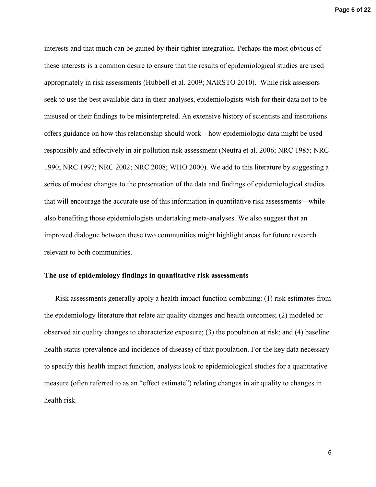interests and that much can be gained by their tighter integration. Perhaps the most obvious of these interests is a common desire to ensure that the results of epidemiological studies are used appropriately in risk assessments (Hubbell et al. 2009; NARSTO 2010). While risk assessors seek to use the best available data in their analyses, epidemiologists wish for their data not to be misused or their findings to be misinterpreted. An extensive history of scientists and institutions offers guidance on how this relationship should work—how epidemiologic data might be used responsibly and effectively in air pollution risk assessment (Neutra et al. 2006; NRC 1985; NRC 1990; NRC 1997; NRC 2002; NRC 2008; WHO 2000). We add to this literature by suggesting a series of modest changes to the presentation of the data and findings of epidemiological studies that will encourage the accurate use of this information in quantitative risk assessments—while also benefiting those epidemiologists undertaking meta-analyses. We also suggest that an improved dialogue between these two communities might highlight areas for future research relevant to both communities.

#### **The use of epidemiology findings in quantitative risk assessments**

Risk assessments generally apply a health impact function combining: (1) risk estimates from the epidemiology literature that relate air quality changes and health outcomes; (2) modeled or observed air quality changes to characterize exposure; (3) the population at risk; and (4) baseline health status (prevalence and incidence of disease) of that population. For the key data necessary to specify this health impact function, analysts look to epidemiological studies for a quantitative measure (often referred to as an "effect estimate") relating changes in air quality to changes in health risk.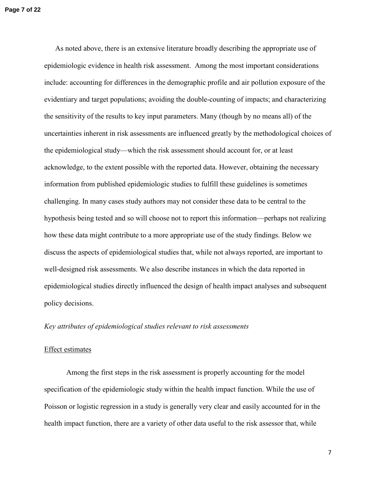As noted above, there is an extensive literature broadly describing the appropriate use of epidemiologic evidence in health risk assessment. Among the most important considerations include: accounting for differences in the demographic profile and air pollution exposure of the evidentiary and target populations; avoiding the double-counting of impacts; and characterizing the sensitivity of the results to key input parameters. Many (though by no means all) of the uncertainties inherent in risk assessments are influenced greatly by the methodological choices of the epidemiological study—which the risk assessment should account for, or at least acknowledge, to the extent possible with the reported data. However, obtaining the necessary information from published epidemiologic studies to fulfill these guidelines is sometimes challenging. In many cases study authors may not consider these data to be central to the hypothesis being tested and so will choose not to report this information—perhaps not realizing how these data might contribute to a more appropriate use of the study findings. Below we discuss the aspects of epidemiological studies that, while not always reported, are important to well-designed risk assessments. We also describe instances in which the data reported in epidemiological studies directly influenced the design of health impact analyses and subsequent policy decisions.

## *Key attributes of epidemiological studies relevant to risk assessments*

#### Effect estimates

Among the first steps in the risk assessment is properly accounting for the model specification of the epidemiologic study within the health impact function. While the use of Poisson or logistic regression in a study is generally very clear and easily accounted for in the health impact function, there are a variety of other data useful to the risk assessor that, while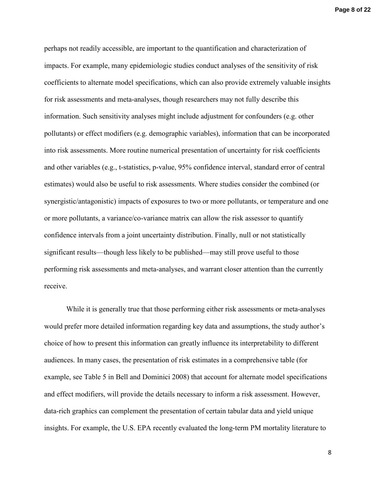**Page 8 of 22**

perhaps not readily accessible, are important to the quantification and characterization of impacts. For example, many epidemiologic studies conduct analyses of the sensitivity of risk coefficients to alternate model specifications, which can also provide extremely valuable insights for risk assessments and meta-analyses, though researchers may not fully describe this information. Such sensitivity analyses might include adjustment for confounders (e.g. other pollutants) or effect modifiers (e.g. demographic variables), information that can be incorporated into risk assessments. More routine numerical presentation of uncertainty for risk coefficients and other variables (e.g., t-statistics, p-value, 95% confidence interval, standard error of central estimates) would also be useful to risk assessments. Where studies consider the combined (or synergistic/antagonistic) impacts of exposures to two or more pollutants, or temperature and one or more pollutants, a variance/co-variance matrix can allow the risk assessor to quantify confidence intervals from a joint uncertainty distribution. Finally, null or not statistically significant results—though less likely to be published—may still prove useful to those performing risk assessments and meta-analyses, and warrant closer attention than the currently receive.

While it is generally true that those performing either risk assessments or meta-analyses would prefer more detailed information regarding key data and assumptions, the study author's choice of how to present this information can greatly influence its interpretability to different audiences. In many cases, the presentation of risk estimates in a comprehensive table (for example, see Table 5 in Bell and Dominici 2008) that account for alternate model specifications and effect modifiers, will provide the details necessary to inform a risk assessment. However, data-rich graphics can complement the presentation of certain tabular data and yield unique insights. For example, the U.S. EPA recently evaluated the long-term PM mortality literature to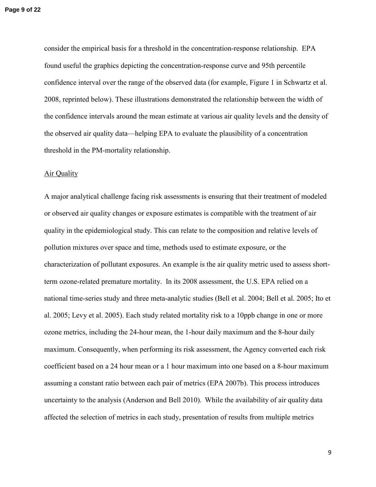consider the empirical basis for a threshold in the concentration-response relationship. EPA found useful the graphics depicting the concentration-response curve and 95th percentile confidence interval over the range of the observed data (for example, Figure 1 in Schwartz et al. 2008, reprinted below). These illustrations demonstrated the relationship between the width of the confidence intervals around the mean estimate at various air quality levels and the density of the observed air quality data—helping EPA to evaluate the plausibility of a concentration threshold in the PM-mortality relationship.

#### Air Quality

A major analytical challenge facing risk assessments is ensuring that their treatment of modeled or observed air quality changes or exposure estimates is compatible with the treatment of air quality in the epidemiological study. This can relate to the composition and relative levels of pollution mixtures over space and time, methods used to estimate exposure, or the characterization of pollutant exposures. An example is the air quality metric used to assess shortterm ozone-related premature mortality. In its 2008 assessment, the U.S. EPA relied on a national time-series study and three meta-analytic studies (Bell et al. 2004; Bell et al. 2005; Ito et al. 2005; Levy et al. 2005). Each study related mortality risk to a 10ppb change in one or more ozone metrics, including the 24-hour mean, the 1-hour daily maximum and the 8-hour daily maximum. Consequently, when performing its risk assessment, the Agency converted each risk coefficient based on a 24 hour mean or a 1 hour maximum into one based on a 8-hour maximum assuming a constant ratio between each pair of metrics (EPA 2007b). This process introduces uncertainty to the analysis (Anderson and Bell 2010). While the availability of air quality data affected the selection of metrics in each study, presentation of results from multiple metrics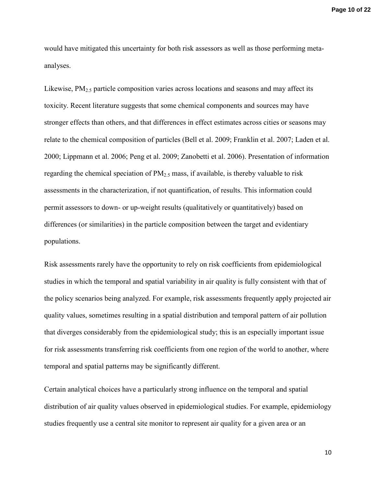**Page 10 of 22**

would have mitigated this uncertainty for both risk assessors as well as those performing metaanalyses.

Likewise,  $PM_2$ , particle composition varies across locations and seasons and may affect its toxicity. Recent literature suggests that some chemical components and sources may have stronger effects than others, and that differences in effect estimates across cities or seasons may relate to the chemical composition of particles (Bell et al. 2009; Franklin et al. 2007; Laden et al. 2000; Lippmann et al. 2006; Peng et al. 2009; Zanobetti et al. 2006). Presentation of information regarding the chemical speciation of  $PM_{2.5}$  mass, if available, is thereby valuable to risk assessments in the characterization, if not quantification, of results. This information could permit assessors to down- or up-weight results (qualitatively or quantitatively) based on differences (or similarities) in the particle composition between the target and evidentiary populations.

Risk assessments rarely have the opportunity to rely on risk coefficients from epidemiological studies in which the temporal and spatial variability in air quality is fully consistent with that of the policy scenarios being analyzed. For example, risk assessments frequently apply projected air quality values, sometimes resulting in a spatial distribution and temporal pattern of air pollution that diverges considerably from the epidemiological study; this is an especially important issue for risk assessments transferring risk coefficients from one region of the world to another, where temporal and spatial patterns may be significantly different.

Certain analytical choices have a particularly strong influence on the temporal and spatial distribution of air quality values observed in epidemiological studies. For example, epidemiology studies frequently use a central site monitor to represent air quality for a given area or an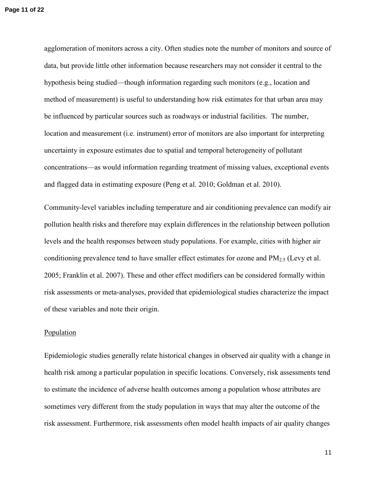agglomeration of monitors across a city. Often studies note the number of monitors and source of data, but provide little other information because researchers may not consider it central to the hypothesis being studied—though information regarding such monitors (e.g., location and method of measurement) is useful to understanding how risk estimates for that urban area may be influenced by particular sources such as roadways or industrial facilities. The number, location and measurement (i.e. instrument) error of monitors are also important for interpreting uncertainty in exposure estimates due to spatial and temporal heterogeneity of pollutant concentrations—as would information regarding treatment of missing values, exceptional events and flagged data in estimating exposure (Peng et al. 2010; Goldman et al. 2010).

Community-level variables including temperature and air conditioning prevalence can modify air pollution health risks and therefore may explain differences in the relationship between pollution levels and the health responses between study populations. For example, cities with higher air conditioning prevalence tend to have smaller effect estimates for ozone and  $PM_{2.5}$  (Levy et al. 2005; Franklin et al. 2007). These and other effect modifiers can be considered formally within risk assessments or meta-analyses, provided that epidemiological studies characterize the impact of these variables and note their origin.

#### Population

Epidemiologic studies generally relate historical changes in observed air quality with a change in health risk among a particular population in specific locations. Conversely, risk assessments tend to estimate the incidence of adverse health outcomes among a population whose attributes are sometimes very different from the study population in ways that may alter the outcome of the risk assessment. Furthermore, risk assessments often model health impacts of air quality changes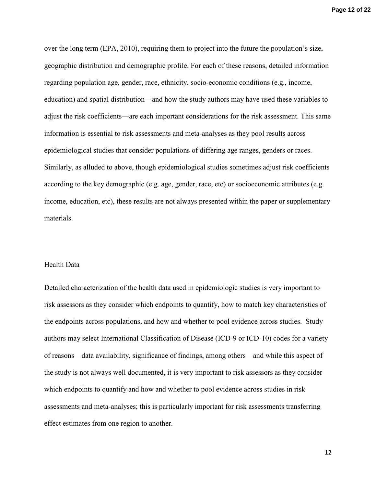over the long term (EPA, 2010), requiring them to project into the future the population's size, geographic distribution and demographic profile. For each of these reasons, detailed information regarding population age, gender, race, ethnicity, socio-economic conditions (e.g., income, education) and spatial distribution—and how the study authors may have used these variables to adjust the risk coefficients—are each important considerations for the risk assessment. This same information is essential to risk assessments and meta-analyses as they pool results across epidemiological studies that consider populations of differing age ranges, genders or races. Similarly, as alluded to above, though epidemiological studies sometimes adjust risk coefficients according to the key demographic (e.g. age, gender, race, etc) or socioeconomic attributes (e.g. income, education, etc), these results are not always presented within the paper or supplementary materials.

#### Health Data

Detailed characterization of the health data used in epidemiologic studies is very important to risk assessors as they consider which endpoints to quantify, how to match key characteristics of the endpoints across populations, and how and whether to pool evidence across studies. Study authors may select International Classification of Disease (ICD-9 or ICD-10) codes for a variety of reasons—data availability, significance of findings, among others—and while this aspect of the study is not always well documented, it is very important to risk assessors as they consider which endpoints to quantify and how and whether to pool evidence across studies in risk assessments and meta-analyses; this is particularly important for risk assessments transferring effect estimates from one region to another.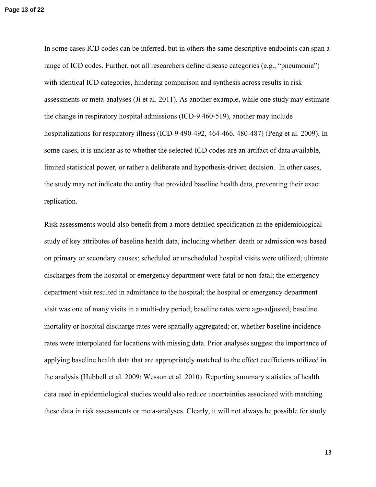In some cases ICD codes can be inferred, but in others the same descriptive endpoints can span a range of ICD codes. Further, not all researchers define disease categories (e.g., "pneumonia") with identical ICD categories, hindering comparison and synthesis across results in risk assessments or meta-analyses (Ji et al. 2011). As another example, while one study may estimate the change in respiratory hospital admissions (ICD-9 460-519), another may include hospitalizations for respiratory illness (ICD-9 490-492, 464-466, 480-487) (Peng et al. 2009). In some cases, it is unclear as to whether the selected ICD codes are an artifact of data available, limited statistical power, or rather a deliberate and hypothesis-driven decision. In other cases, the study may not indicate the entity that provided baseline health data, preventing their exact replication.

Risk assessments would also benefit from a more detailed specification in the epidemiological study of key attributes of baseline health data, including whether: death or admission was based on primary or secondary causes; scheduled or unscheduled hospital visits were utilized; ultimate discharges from the hospital or emergency department were fatal or non-fatal; the emergency department visit resulted in admittance to the hospital; the hospital or emergency department visit was one of many visits in a multi-day period; baseline rates were age-adjusted; baseline mortality or hospital discharge rates were spatially aggregated; or, whether baseline incidence rates were interpolated for locations with missing data. Prior analyses suggest the importance of applying baseline health data that are appropriately matched to the effect coefficients utilized in the analysis (Hubbell et al. 2009; Wesson et al. 2010). Reporting summary statistics of health data used in epidemiological studies would also reduce uncertainties associated with matching these data in risk assessments or meta-analyses. Clearly, it will not always be possible for study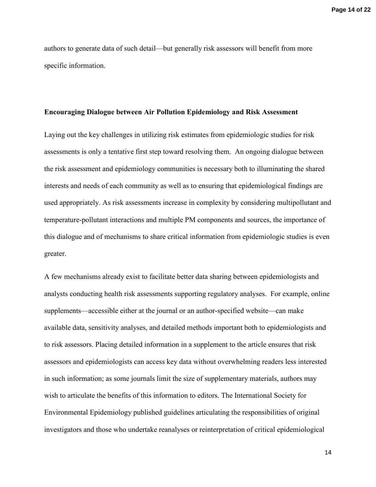**Page 14 of 22**

authors to generate data of such detail—but generally risk assessors will benefit from more specific information.

#### **Encouraging Dialogue between Air Pollution Epidemiology and Risk Assessment**

Laying out the key challenges in utilizing risk estimates from epidemiologic studies for risk assessments is only a tentative first step toward resolving them. An ongoing dialogue between the risk assessment and epidemiology communities is necessary both to illuminating the shared interests and needs of each community as well as to ensuring that epidemiological findings are used appropriately. As risk assessments increase in complexity by considering multipollutant and temperature-pollutant interactions and multiple PM components and sources, the importance of this dialogue and of mechanisms to share critical information from epidemiologic studies is even greater.

A few mechanisms already exist to facilitate better data sharing between epidemiologists and analysts conducting health risk assessments supporting regulatory analyses. For example, online supplements—accessible either at the journal or an author-specified website—can make available data, sensitivity analyses, and detailed methods important both to epidemiologists and to risk assessors. Placing detailed information in a supplement to the article ensures that risk assessors and epidemiologists can access key data without overwhelming readers less interested in such information; as some journals limit the size of supplementary materials, authors may wish to articulate the benefits of this information to editors. The International Society for Environmental Epidemiology published guidelines articulating the responsibilities of original investigators and those who undertake reanalyses or reinterpretation of critical epidemiological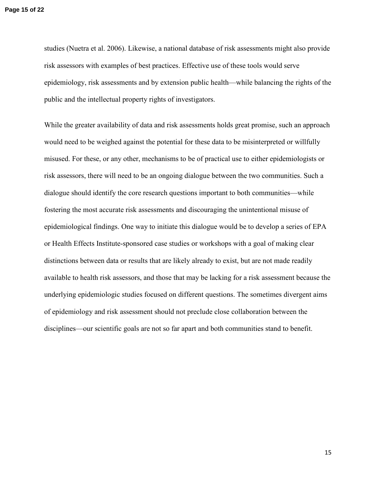studies (Nuetra et al. 2006). Likewise, a national database of risk assessments might also provide risk assessors with examples of best practices. Effective use of these tools would serve epidemiology, risk assessments and by extension public health—while balancing the rights of the public and the intellectual property rights of investigators.

While the greater availability of data and risk assessments holds great promise, such an approach would need to be weighed against the potential for these data to be misinterpreted or willfully misused. For these, or any other, mechanisms to be of practical use to either epidemiologists or risk assessors, there will need to be an ongoing dialogue between the two communities. Such a dialogue should identify the core research questions important to both communities—while fostering the most accurate risk assessments and discouraging the unintentional misuse of epidemiological findings. One way to initiate this dialogue would be to develop a series of EPA or Health Effects Institute-sponsored case studies or workshops with a goal of making clear distinctions between data or results that are likely already to exist, but are not made readily available to health risk assessors, and those that may be lacking for a risk assessment because the underlying epidemiologic studies focused on different questions. The sometimes divergent aims of epidemiology and risk assessment should not preclude close collaboration between the disciplines—our scientific goals are not so far apart and both communities stand to benefit.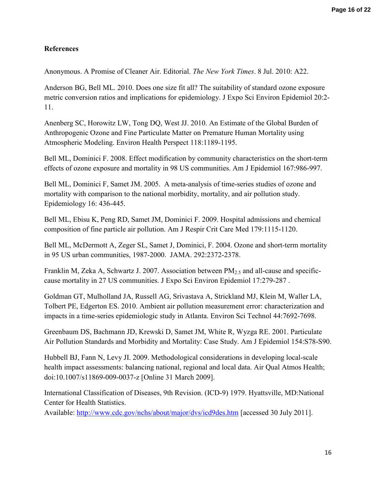# **References**

Anonymous. A Promise of Cleaner Air. Editorial. *The New York Times*. 8 Jul. 2010: A22.

Anderson BG, Bell ML. 2010. Does one size fit all? The suitability of standard ozone exposure metric conversion ratios and implications for epidemiology. J Expo Sci Environ Epidemiol 20:2- 11.

Anenberg SC, Horowitz LW, Tong DQ, West JJ. 2010. An Estimate of the Global Burden of Anthropogenic Ozone and Fine Particulate Matter on Premature Human Mortality using Atmospheric Modeling. Environ Health Perspect 118:1189-1195.

Bell ML, Dominici F. 2008. Effect modification by community characteristics on the short-term effects of ozone exposure and mortality in 98 US communities. Am J Epidemiol 167:986-997.

Bell ML, Dominici F, Samet JM. 2005. A meta-analysis of time-series studies of ozone and mortality with comparison to the national morbidity, mortality, and air pollution study. Epidemiology 16: 436-445.

Bell ML, Ebisu K, Peng RD, Samet JM, Dominici F. 2009. Hospital admissions and chemical composition of fine particle air pollution. Am J Respir Crit Care Med 179:1115-1120.

Bell ML, McDermott A, Zeger SL, Samet J, Dominici, F. 2004. Ozone and short-term mortality in 95 US urban communities, 1987-2000. JAMA. 292:2372-2378.

Franklin M, Zeka A, Schwartz J. 2007. Association between  $PM_{2.5}$  and all-cause and specificcause mortality in 27 US communities. J Expo Sci Environ Epidemiol 17:279-287 .

Goldman GT, Mulholland JA, Russell AG, Srivastava A, Strickland MJ, Klein M, Waller LA, Tolbert PE, Edgerton ES. 2010. Ambient air pollution measurement error: characterization and impacts in a time-series epidemiologic study in Atlanta. Environ Sci Technol 44:7692-7698.

Greenbaum DS, Bachmann JD, Krewski D, Samet JM, White R, Wyzga RE. 2001. Particulate Air Pollution Standards and Morbidity and Mortality: Case Study. Am J Epidemiol 154:S78-S90.

Hubbell BJ, Fann N, Levy JI. 2009. Methodological considerations in developing local-scale health impact assessments: balancing national, regional and local data. Air Qual Atmos Health; doi:10.1007/s11869-009-0037-z [Online 31 March 2009].

International Classification of Diseases, 9th Revision. (ICD-9) 1979. Hyattsville, MD:National Center for Health Statistics.

Available: http://www.cdc.gov/nchs/about/major/dvs/icd9des.htm [accessed 30 July 2011].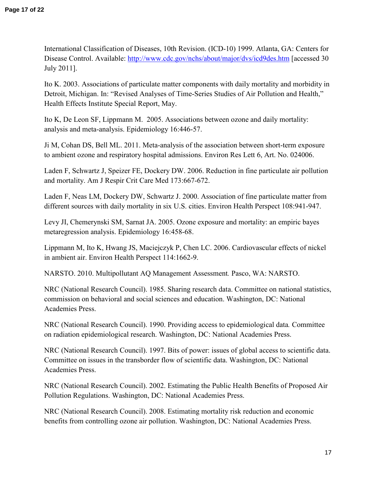International Classification of Diseases, 10th Revision. (ICD-10) 1999. Atlanta, GA: Centers for Disease Control. Available: http://www.cdc.gov/nchs/about/major/dvs/icd9des.htm [accessed 30] July 2011].

Ito K. 2003. Associations of particulate matter components with daily mortality and morbidity in Detroit, Michigan. In: "Revised Analyses of Time-Series Studies of Air Pollution and Health," Health Effects Institute Special Report, May.

Ito K, De Leon SF, Lippmann M. 2005. Associations between ozone and daily mortality: analysis and meta-analysis. Epidemiology 16:446-57.

Ji M, Cohan DS, Bell ML. 2011. Meta-analysis of the association between short-term exposure to ambient ozone and respiratory hospital admissions. Environ Res Lett 6, Art. No. 024006.

Laden F, Schwartz J, Speizer FE, Dockery DW. 2006. Reduction in fine particulate air pollution and mortality. Am J Respir Crit Care Med 173:667-672.

Laden F, Neas LM, Dockery DW, Schwartz J. 2000. Association of fine particulate matter from different sources with daily mortality in six U.S. cities. Environ Health Perspect 108:941-947.

Levy JI, Chemerynski SM, Sarnat JA. 2005. Ozone exposure and mortality: an empiric bayes metaregression analysis. Epidemiology 16:458-68.

Lippmann M, Ito K, Hwang JS, Maciejczyk P, Chen LC. 2006. Cardiovascular effects of nickel in ambient air. Environ Health Perspect 114:1662-9.

NARSTO. 2010. Multipollutant AQ Management Assessment*.* Pasco, WA: NARSTO.

NRC (National Research Council). 1985. Sharing research data. Committee on national statistics, commission on behavioral and social sciences and education. Washington, DC: National Academies Press.

NRC (National Research Council). 1990. Providing access to epidemiological data*.* Committee on radiation epidemiological research. Washington, DC: National Academies Press.

NRC (National Research Council). 1997. Bits of power: issues of global access to scientific data. Committee on issues in the transborder flow of scientific data. Washington, DC: National Academies Press.

NRC (National Research Council). 2002. Estimating the Public Health Benefits of Proposed Air Pollution Regulations. Washington, DC: National Academies Press.

NRC (National Research Council). 2008. Estimating mortality risk reduction and economic benefits from controlling ozone air pollution. Washington, DC: National Academies Press.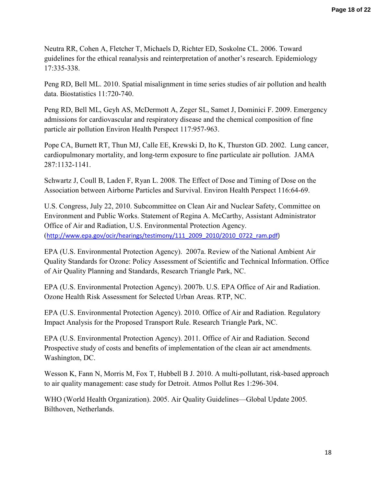Neutra RR, Cohen A, Fletcher T, Michaels D, Richter ED, Soskolne CL. 2006. Toward guidelines for the ethical reanalysis and reinterpretation of another's research. Epidemiology 17:335-338.

Peng RD, Bell ML. 2010. Spatial misalignment in time series studies of air pollution and health data. Biostatistics 11:720-740.

Peng RD, Bell ML, Geyh AS, McDermott A, Zeger SL, Samet J, Dominici F. 2009. Emergency admissions for cardiovascular and respiratory disease and the chemical composition of fine particle air pollution Environ Health Perspect 117:957-963.

Pope CA, Burnett RT, Thun MJ, Calle EE, Krewski D, Ito K, Thurston GD. 2002. Lung cancer, cardiopulmonary mortality, and long-term exposure to fine particulate air pollution. JAMA 287:1132-1141.

Schwartz J, Coull B, Laden F, Ryan L. 2008. The Effect of Dose and Timing of Dose on the Association between Airborne Particles and Survival. Environ Health Perspect 116:64-69.

U.S. Congress, July 22, 2010. Subcommittee on Clean Air and Nuclear Safety, Committee on Environment and Public Works. Statement of Regina A. McCarthy, Assistant Administrator Office of Air and Radiation, U.S. Environmental Protection Agency. (http://www.epa.gov/ocir/hearings/testimony/111\_2009\_2010/2010\_0722\_ram.pdf)

EPA (U.S. Environmental Protection Agency). 2007a. Review of the National Ambient Air Quality Standards for Ozone: Policy Assessment of Scientific and Technical Information. Office of Air Quality Planning and Standards, Research Triangle Park, NC.

EPA (U.S. Environmental Protection Agency). 2007b. U.S. EPA Office of Air and Radiation. Ozone Health Risk Assessment for Selected Urban Areas. RTP, NC.

EPA (U.S. Environmental Protection Agency). 2010. Office of Air and Radiation. Regulatory Impact Analysis for the Proposed Transport Rule. Research Triangle Park, NC.

EPA (U.S. Environmental Protection Agency). 2011. Office of Air and Radiation. Second Prospective study of costs and benefits of implementation of the clean air act amendments. Washington, DC.

Wesson K, Fann N, Morris M, Fox T, Hubbell B J. 2010. A multi-pollutant, risk-based approach to air quality management: case study for Detroit. Atmos Pollut Res 1:296-304.

WHO (World Health Organization). 2005. Air Quality Guidelines—Global Update 2005*.*  Bilthoven, Netherlands.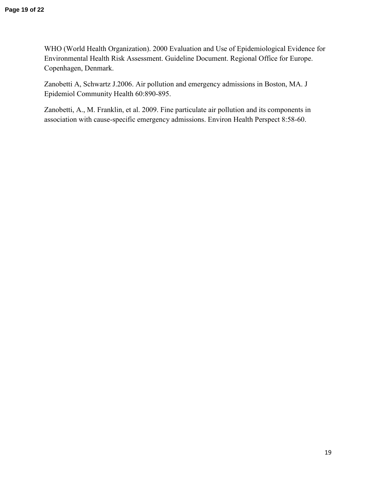WHO (World Health Organization). 2000 Evaluation and Use of Epidemiological Evidence for Environmental Health Risk Assessment. Guideline Document. Regional Office for Europe. Copenhagen, Denmark.

Zanobetti A, Schwartz J.2006. Air pollution and emergency admissions in Boston, MA. J Epidemiol Community Health 60:890-895.

Zanobetti, A., M. Franklin, et al. 2009. Fine particulate air pollution and its components in association with cause-specific emergency admissions. Environ Health Perspect 8:58-60.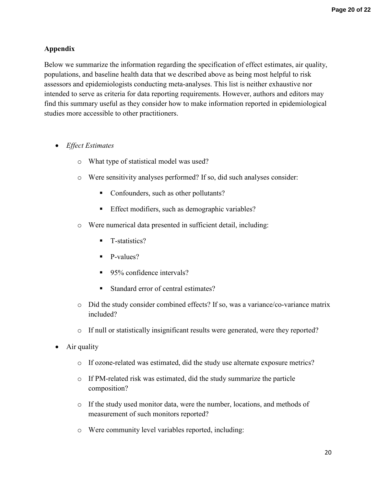# **Appendix**

Below we summarize the information regarding the specification of effect estimates, air quality, populations, and baseline health data that we described above as being most helpful to risk assessors and epidemiologists conducting meta-analyses. This list is neither exhaustive nor intended to serve as criteria for data reporting requirements. However, authors and editors may find this summary useful as they consider how to make information reported in epidemiological studies more accessible to other practitioners.

- *Effect Estimates* 
	- o What type of statistical model was used?
	- o Were sensitivity analyses performed? If so, did such analyses consider:
		- Confounders, such as other pollutants?
		- **Effect modifiers, such as demographic variables?**
	- o Were numerical data presented in sufficient detail, including:
		- T-statistics?
		- P-values?
		- 95% confidence intervals?
		- Standard error of central estimates?
	- o Did the study consider combined effects? If so, was a variance/co-variance matrix included?
	- o If null or statistically insignificant results were generated, were they reported?
- Air quality
	- o If ozone-related was estimated, did the study use alternate exposure metrics?
	- o If PM-related risk was estimated, did the study summarize the particle composition?
	- o If the study used monitor data, were the number, locations, and methods of measurement of such monitors reported?
	- o Were community level variables reported, including: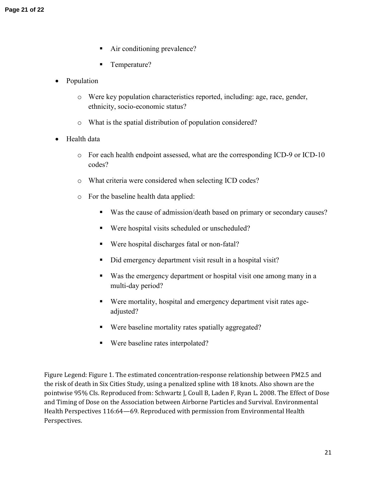- Air conditioning prevalence?
- Temperature?
- Population
	- o Were key population characteristics reported, including: age, race, gender, ethnicity, socio-economic status?
	- o What is the spatial distribution of population considered?
- Health data
	- o For each health endpoint assessed, what are the corresponding ICD-9 or ICD-10 codes?
	- o What criteria were considered when selecting ICD codes?
	- o For the baseline health data applied:
		- Was the cause of admission/death based on primary or secondary causes?
		- Were hospital visits scheduled or unscheduled?
		- Were hospital discharges fatal or non-fatal?
		- Did emergency department visit result in a hospital visit?
		- Was the emergency department or hospital visit one among many in a multi-day period?
		- Were mortality, hospital and emergency department visit rates ageadjusted?
		- Were baseline mortality rates spatially aggregated?
		- Were baseline rates interpolated?

Figure Legend: Figure 1. The estimated concentration-response relationship between PM2.5 and the risk of death in Six Cities Study, using a penalized spline with 18 knots. Also shown are the pointwise 95% CIs. Reproduced from: Schwartz J, Coull B, Laden F, Ryan L. 2008. The Effect of Dose and Timing of Dose on the Association between Airborne Particles and Survival. Environmental Health Perspectives 116:64—69. Reproduced with permission from Environmental Health Perspectives.